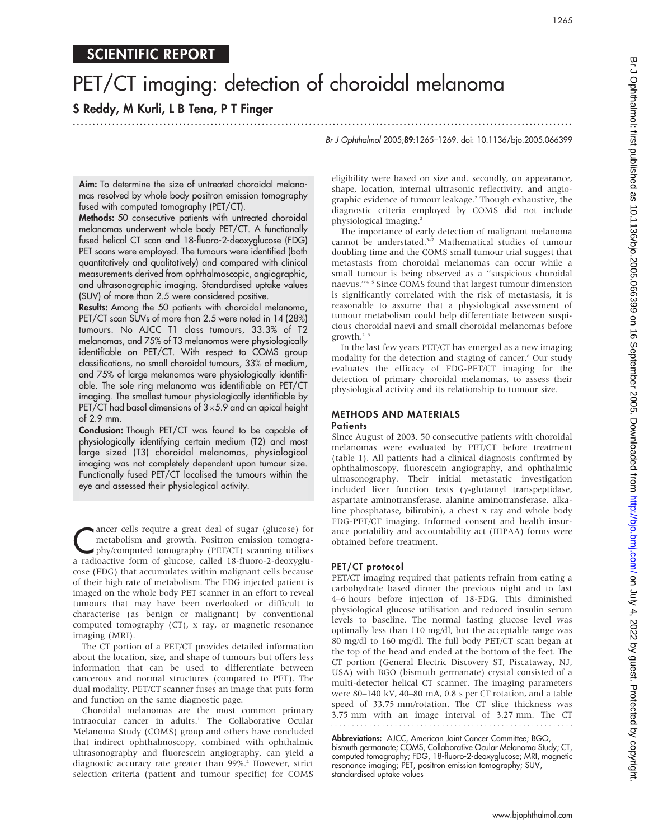# PET/CT imaging: detection of choroidal melanoma

#### S Reddy, M Kurli, L B Tena, P T Finger ...............................................................................................................................

Br J Ophthalmol 2005;89:1265–1269. doi: 10.1136/bjo.2005.066399

Aim: To determine the size of untreated choroidal melanomas resolved by whole body positron emission tomography fused with computed tomography (PET/CT).

Methods: 50 consecutive patients with untreated choroidal melanomas underwent whole body PET/CT. A functionally fused helical CT scan and 18-fluoro-2-deoxyglucose (FDG) PET scans were employed. The tumours were identified (both quantitatively and qualitatively) and compared with clinical measurements derived from ophthalmoscopic, angiographic, and ultrasonographic imaging. Standardised uptake values (SUV) of more than 2.5 were considered positive.

Results: Among the 50 patients with choroidal melanoma, PET/CT scan SUVs of more than 2.5 were noted in 14 (28%) tumours. No AJCC T1 class tumours, 33.3% of T2 melanomas, and 75% of T3 melanomas were physiologically identifiable on PET/CT. With respect to COMS group classifications, no small choroidal tumours, 33% of medium, and 75% of large melanomas were physiologically identifiable. The sole ring melanoma was identifiable on PET/CT imaging. The smallest tumour physiologically identifiable by PET/CT had basal dimensions of  $3\times5.9$  and an apical height of 2.9 mm.

Conclusion: Though PET/CT was found to be capable of physiologically identifying certain medium (T2) and most large sized (T3) choroidal melanomas, physiological imaging was not completely dependent upon tumour size. Functionally fused PET/CT localised the tumours within the eye and assessed their physiological activity.

Cancer cells require a great deal of sugar (glucose) for<br>metabolism and growth. Positron emission tomography<br>phy/computed tomography (PET/CT) scanning utilises metabolism and growth. Positron emission tomograa radioactive form of glucose, called 18-fluoro-2-deoxyglucose (FDG) that accumulates within malignant cells because of their high rate of metabolism. The FDG injected patient is imaged on the whole body PET scanner in an effort to reveal tumours that may have been overlooked or difficult to characterise (as benign or malignant) by conventional computed tomography (CT), x ray, or magnetic resonance imaging (MRI).

The CT portion of a PET/CT provides detailed information about the location, size, and shape of tumours but offers less information that can be used to differentiate between cancerous and normal structures (compared to PET). The dual modality, PET/CT scanner fuses an image that puts form and function on the same diagnostic page.

Choroidal melanomas are the most common primary intraocular cancer in adults.<sup>1</sup> The Collaborative Ocular Melanoma Study (COMS) group and others have concluded that indirect ophthalmoscopy, combined with ophthalmic ultrasonography and fluorescein angiography, can yield a diagnostic accuracy rate greater than 99%.<sup>2</sup> However, strict selection criteria (patient and tumour specific) for COMS eligibility were based on size and. secondly, on appearance, shape, location, internal ultrasonic reflectivity, and angiographic evidence of tumour leakage.2 Though exhaustive, the diagnostic criteria employed by COMS did not include physiological imaging.2

The importance of early detection of malignant melanoma cannot be understated.<sup>3-7</sup> Mathematical studies of tumour doubling time and the COMS small tumour trial suggest that metastasis from choroidal melanomas can occur while a small tumour is being observed as a ''suspicious choroidal naevus.''4 5 Since COMS found that largest tumour dimension is significantly correlated with the risk of metastasis, it is reasonable to assume that a physiological assessment of tumour metabolism could help differentiate between suspicious choroidal naevi and small choroidal melanomas before growth.2 3

In the last few years PET/CT has emerged as a new imaging modality for the detection and staging of cancer.<sup>8</sup> Our study evaluates the efficacy of FDG-PET/CT imaging for the detection of primary choroidal melanomas, to assess their physiological activity and its relationship to tumour size.

### METHODS AND MATERIALS **Patients**

Since August of 2003, 50 consecutive patients with choroidal melanomas were evaluated by PET/CT before treatment (table 1). All patients had a clinical diagnosis confirmed by ophthalmoscopy, fluorescein angiography, and ophthalmic ultrasonography. Their initial metastatic investigation included liver function tests  $(\gamma$ -glutamyl transpeptidase, aspartate aminotransferase, alanine aminotransferase, alkaline phosphatase, bilirubin), a chest x ray and whole body FDG-PET/CT imaging. Informed consent and health insurance portability and accountability act (HIPAA) forms were obtained before treatment.

# PET/CT protocol

PET/CT imaging required that patients refrain from eating a carbohydrate based dinner the previous night and to fast 4–6 hours before injection of 18-FDG. This diminished physiological glucose utilisation and reduced insulin serum levels to baseline. The normal fasting glucose level was optimally less than 110 mg/dl, but the acceptable range was 80 mg/dl to 160 mg/dl. The full body PET/CT scan began at the top of the head and ended at the bottom of the feet. The CT portion (General Electric Discovery ST, Piscataway, NJ, USA) with BGO (bismuth germanate) crystal consisted of a multi-detector helical CT scanner. The imaging parameters were 80–140 kV, 40–80 mA, 0.8 s per CT rotation, and a table speed of 33.75 mm/rotation. The CT slice thickness was 3.75 mm with an image interval of 3.27 mm. The CT

Abbreviations: AJCC, American Joint Cancer Committee; BGO, bismuth germanate; COMS, Collaborative Ocular Melanoma Study; CT, computed tomography; FDG, 18-fluoro-2-deoxyglucose; MRI, magnetic resonance imaging; PET, positron emission tomography; SUV, standardised uptake values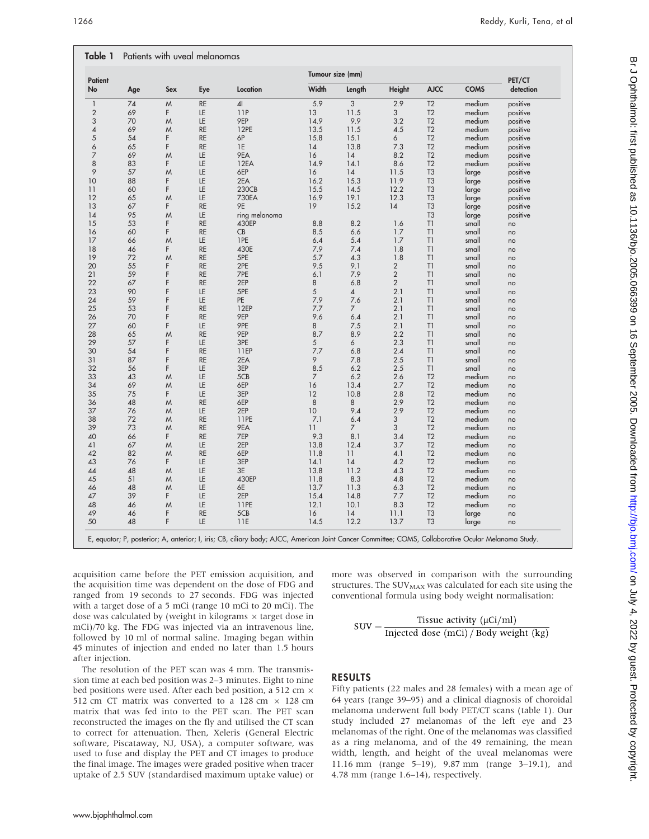| <b>Patient</b><br>No | Age      | <b>Sex</b> | Eye       | Location      | Tumour size (mm) |                |                |                |             | PET/CT    |
|----------------------|----------|------------|-----------|---------------|------------------|----------------|----------------|----------------|-------------|-----------|
|                      |          |            |           |               | Width            | Length         | <b>Height</b>  | <b>AJCC</b>    | <b>COMS</b> | detection |
| $\mathbf{1}$         | 74       | M          | <b>RE</b> | 41            | 5.9              | 3              | 2.9            | T <sub>2</sub> | medium      | positive  |
| $\mathbf{2}$         | 69       | F          | LE        | 11P           | 13               | 11.5           | 3              | T <sub>2</sub> | medium      | positive  |
| 3                    | 70       | M          | LE        | 9EP           | 14.9             | 9.9            | 3.2            | T <sub>2</sub> | medium      | positive  |
| 4                    | 69       | M          | <b>RE</b> | 12PE          | 13.5             | 11.5           | 4.5            | T <sub>2</sub> | medium      | positive  |
| 5                    | 54       | F          | <b>RE</b> | 6P            | 15.8             | 15.1           | 6              | T <sub>2</sub> | medium      | positive  |
| 6                    | 65       | F          | <b>RE</b> | 1E            | 14               | 13.8           | 7.3            | T <sub>2</sub> | medium      | positive  |
| 7                    | 69       | M          | LE        | 9EA           | 16               | 14             | 8.2            | T <sub>2</sub> | medium      | positive  |
| 8                    | 83       | F          | LE        | 12EA          | 14.9             | 14.1           | 8.6            | T <sub>2</sub> | medium      | positive  |
| 9                    | 57       | M          | LE        | 6EP           | 16               | 14             | 11.5           | T <sub>3</sub> | large       | positive  |
| 10                   | 88       | F          | LE        | 2EA           | 16.2             | 15.3           | 11.9           | T <sub>3</sub> | large       | positive  |
| 11                   | 60       | F          | LE        | 230CB         | 15.5             | 14.5           | 12.2           | T <sub>3</sub> | large       | positive  |
| 12                   | 65       | M          | LE        | 730EA         | 16.9             | 19.1           | 12.3           | T <sub>3</sub> | large       | positive  |
| 13                   | 67       | F          | <b>RE</b> | 9E            | 19               | 15.2           | 14             | T <sub>3</sub> | large       | positive  |
| 14                   | 95       | M          | LE        | ring melanoma |                  |                |                | T <sub>3</sub> | large       | positive  |
| 15                   | 53       | F          | <b>RE</b> | 430EP         | 8.8              | 8.2            | 1.6            | T1             | small       | no        |
| 16                   | 60       | F          | <b>RE</b> | CB            | 8.5              | 6.6            | 1.7            | T1             | small       | no        |
| 17                   | 66       | M          | LE        | 1PE           | 6.4              | 5.4            | 1.7            | T1             | small       | no        |
|                      |          | F          | <b>RE</b> |               |                  |                |                |                |             |           |
| 18                   | 46<br>72 |            |           | 430E          | 7.9              | 7.4            | 1.8            | T1             | small       | no        |
| 19                   |          | M          | <b>RE</b> | 5PE           | 5.7              | 4.3            | 1.8            | T1             | small       | no        |
| 20                   | 55       | F          | <b>RE</b> | 2PE           | 9.5              | 9.1            | $\sqrt{2}$     | T1             | small       | no        |
| 21                   | 59       | F          | <b>RE</b> | 7PE           | 6.1              | 7.9            | $\overline{2}$ | T1             | small       | no        |
| 22                   | 67       | F          | <b>RE</b> | 2EP           | 8                | 6.8            | $\overline{2}$ | T1             | small       | no        |
| 23                   | 90       | F          | LE        | 5PE           | 5                | $\overline{4}$ | 2.1            | T1             | small       | no        |
| 24                   | 59       | F          | LE        | PE            | 7.9              | 7.6            | 2.1            | T1             | small       | no        |
| 25                   | 53       | F          | <b>RE</b> | 12EP          | 7.7              | $\overline{7}$ | 2.1            | T1             | small       | no        |
| 26                   | 70       | F          | <b>RE</b> | 9EP           | 9.6              | 6.4            | 2.1            | T1             | small       | no        |
| 27                   | 60       | F          | LE        | 9PE           | 8                | 7.5            | 2.1            | T1             | small       | no        |
| 28                   | 65       | M          | <b>RE</b> | 9EP           | 8.7              | 8.9            | 2.2            | T1             | small       | no        |
| 29                   | 57       | F          | LE        | 3PE           | 5                | 6              | 2.3            | T1             | small       | no        |
| 30                   | 54       | F          | <b>RE</b> | 11EP          | 7.7              | 6.8            | 2.4            | T1             | small       | no        |
| 31                   | 87       | F          | <b>RE</b> | 2EA           | 9                | 7.8            | 2.5            | T1             | small       | no        |
| 32                   | 56       | F          | LE        | 3EP           | 8.5              | 6.2            | 2.5            | T1             | small       | no        |
| 33                   | 43       | M          | LE        | 5CB           | $\overline{7}$   | 6.2            | 2.6            | T <sub>2</sub> | medium      | no        |
| 34                   | 69       | M          | LE        | 6EP           | 16               | 13.4           | 2.7            | T <sub>2</sub> | medium      | no        |
| 35                   | 75       | F          | LE        | 3EP           | 12               | 10.8           | 2.8            | T <sub>2</sub> | medium      | no        |
| 36                   | 48       | M          | <b>RE</b> | 6EP           | 8                | 8              | 2.9            | T <sub>2</sub> | medium      | no        |
| 37                   | 76       | M          | LE        | 2EP           | 10               | 9.4            | 2.9            | T <sub>2</sub> | medium      | no        |
| 38                   | 72       | M          | <b>RE</b> | 11PE          | 7.1              | 6.4            | 3              | T <sub>2</sub> | medium      | no        |
| 39                   | 73       | M          | <b>RE</b> | 9EA           | 11               | $\overline{7}$ | 3              | T <sub>2</sub> | medium      | no        |
| 40                   | 66       | F          | <b>RE</b> | 7EP           | 9.3              | 8.1            | 3.4            | T <sub>2</sub> | medium      | no        |
| 41                   | 67       | M          | LE        | 2EP           | 13.8             | 12.4           | 3.7            | T <sub>2</sub> | medium      | no        |
| 42                   | 82       | M          | <b>RE</b> | 6EP           | 11.8             | 11             | 4.1            | T <sub>2</sub> | medium      |           |
| 43                   |          | F          | LE        | 3EP           |                  |                | 4.2            | T <sub>2</sub> |             | no        |
| 44                   | 76<br>48 |            | LE        | 3E            | 14.1             | 14<br>11.2     |                | T <sub>2</sub> | medium      | no        |
|                      |          | M          |           |               | 13.8             |                | 4.3            |                | medium      | no        |
| 45                   | 51       | M          | LE        | 430EP         | 11.8             | 8.3            | 4.8            | T <sub>2</sub> | medium      | no        |
| 46                   | 48       | M          | LE        | 6E            | 13.7             | 11.3           | 6.3            | T <sub>2</sub> | medium      | no        |
| 47                   | 39       | F          | LE        | 2EP           | 15.4             | 14.8           | 7.7            | T <sub>2</sub> | medium      | no        |
| 48                   | 46       | M          | LE        | 11PE          | 12.1             | 10.1           | 8.3            | T <sub>2</sub> | medium      | no        |
| 49                   | 46       | F          | <b>RE</b> | 5CB           | 16               | 14             | 11.1           | T <sub>3</sub> | large       | no        |
| 50                   | 48       | F          | LE        | 11E           | 14.5             | 12.2           | 13.7           | T <sub>3</sub> | large       | no        |

acquisition came before the PET emission acquisition, and the acquisition time was dependent on the dose of FDG and ranged from 19 seconds to 27 seconds. FDG was injected with a target dose of a 5 mCi (range 10 mCi to 20 mCi). The dose was calculated by (weight in kilograms  $\times$  target dose in mCi)/70 kg. The FDG was injected via an intravenous line, followed by 10 ml of normal saline. Imaging began within 45 minutes of injection and ended no later than 1.5 hours after injection.

The resolution of the PET scan was 4 mm. The transmission time at each bed position was 2–3 minutes. Eight to nine bed positions were used. After each bed position, a 512 cm  $\times$ 512 cm CT matrix was converted to a 128 cm  $\times$  128 cm matrix that was fed into to the PET scan. The PET scan reconstructed the images on the fly and utilised the CT scan to correct for attenuation. Then, Xeleris (General Electric software, Piscataway, NJ, USA), a computer software, was used to fuse and display the PET and CT images to produce the final image. The images were graded positive when tracer uptake of 2.5 SUV (standardised maximum uptake value) or

more was observed in comparison with the surrounding structures. The  $\mathrm{SUV}_{\mathrm{MAX}}$  was calculated for each site using the conventional formula using body weight normalisation:

$$
SUV = \frac{Tissue activity (\mu Ci/ml)}{Injected dose (mCi) / Body weight (kg)}
$$

# RESULTS

Fifty patients (22 males and 28 females) with a mean age of 64 years (range 39–95) and a clinical diagnosis of choroidal melanoma underwent full body PET/CT scans (table 1). Our study included 27 melanomas of the left eye and 23 melanomas of the right. One of the melanomas was classified as a ring melanoma, and of the 49 remaining, the mean width, length, and height of the uveal melanomas were 11.16 mm (range 5–19), 9.87 mm (range 3–19.1), and 4.78 mm (range 1.6–14), respectively.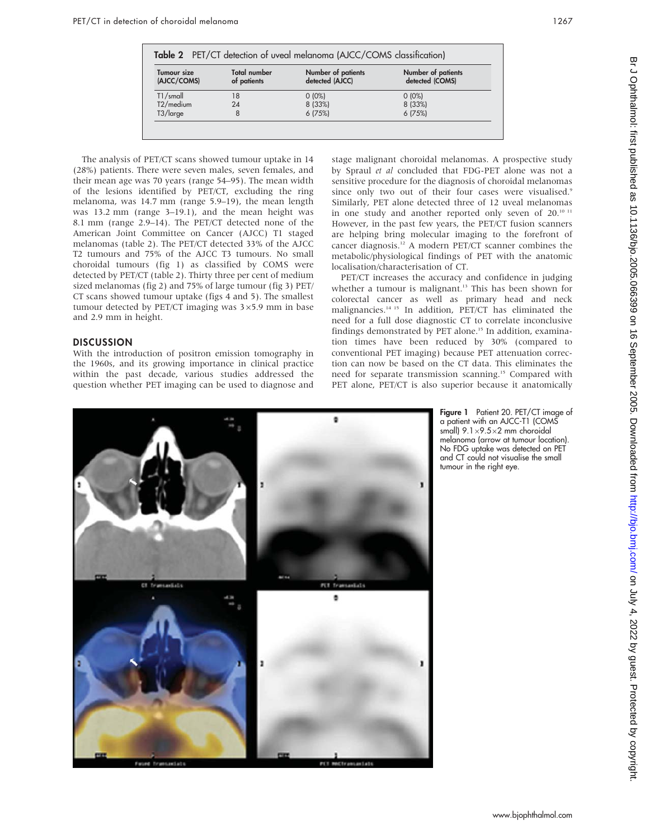The analysis of PET/CT scans showed tumour uptake in 14 (28%) patients. There were seven males, seven females, and their mean age was 70 years (range 54–95). The mean width of the lesions identified by PET/CT, excluding the ring melanoma, was 14.7 mm (range 5.9–19), the mean length was 13.2 mm (range 3–19.1), and the mean height was 8.1 mm (range 2.9–14). The PET/CT detected none of the American Joint Committee on Cancer (AJCC) T1 staged melanomas (table 2). The PET/CT detected 33% of the AJCC T2 tumours and 75% of the AJCC T3 tumours. No small choroidal tumours (fig 1) as classified by COMS were detected by PET/CT (table 2). Thirty three per cent of medium sized melanomas (fig 2) and 75% of large tumour (fig 3) PET/ CT scans showed tumour uptake (figs 4 and 5). The smallest tumour detected by PET/CT imaging was  $3\times5.9$  mm in base and 2.9 mm in height.

#### **DISCUSSION**

With the introduction of positron emission tomography in the 1960s, and its growing importance in clinical practice within the past decade, various studies addressed the question whether PET imaging can be used to diagnose and stage malignant choroidal melanomas. A prospective study by Spraul et al concluded that FDG-PET alone was not a sensitive procedure for the diagnosis of choroidal melanomas since only two out of their four cases were visualised.<sup>9</sup> Similarly, PET alone detected three of 12 uveal melanomas in one study and another reported only seven of 20.<sup>10 11</sup> However, in the past few years, the PET/CT fusion scanners are helping bring molecular imaging to the forefront of cancer diagnosis.<sup>12</sup> A modern PET/CT scanner combines the metabolic/physiological findings of PET with the anatomic localisation/characterisation of CT.

PET/CT increases the accuracy and confidence in judging whether a tumour is malignant.<sup>13</sup> This has been shown for colorectal cancer as well as primary head and neck malignancies.14 15 In addition, PET/CT has eliminated the need for a full dose diagnostic CT to correlate inconclusive findings demonstrated by PET alone.<sup>15</sup> In addition, examination times have been reduced by 30% (compared to conventional PET imaging) because PET attenuation correction can now be based on the CT data. This eliminates the need for separate transmission scanning.<sup>15</sup> Compared with PET alone, PET/CT is also superior because it anatomically



Figure 1 Patient 20. PET/CT image of a patient with an AJCC-T1 (COMS small)  $9.1 \times 9.5 \times 2$  mm choroidal melanoma (arrow at tumour location). No FDG uptake was detected on PET and CT could not visualise the small tumour in the right eye.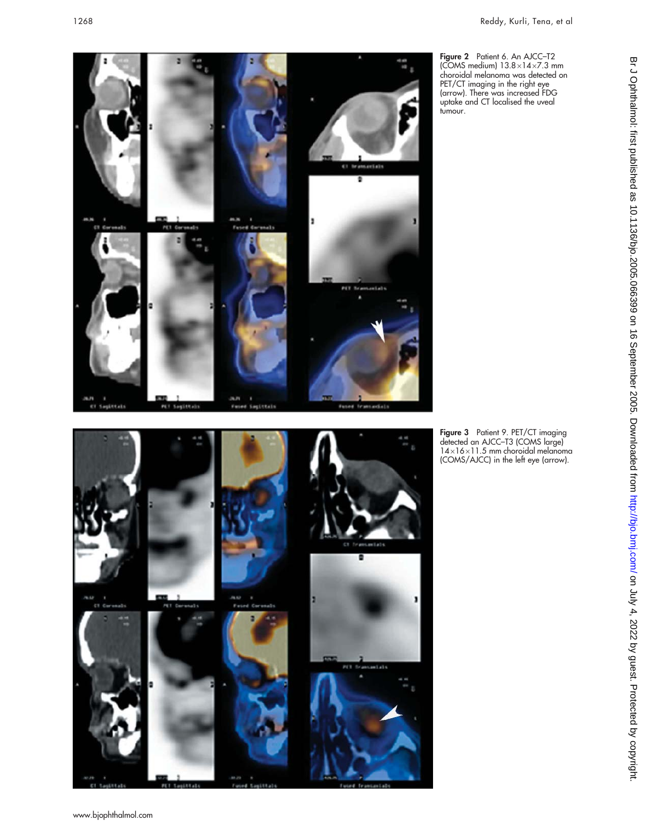**Figure 2** Patient 6. An AJCC-T2 (COMS medium) 13.8×14×7.3 mm choroidal melanoma was detected on PET/CT imaging in the right eye (arrow). There was increased FDG uptake and CT localised the uveal tumour.

**Figure 3** Patient 9. PET/CT imaging detected an AJCC–T3 (COMS large)  $14\times16\times11.5$  mm choroidal melanoma (COMS/AJCC) in the left eye (arrow).





www.bjophthalmol.com